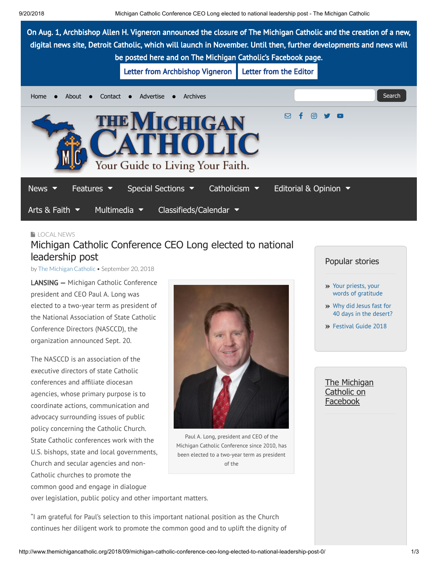

# **[LOCAL](http://www.themichigancatholic.org/news/local-news/) NEWS** Michigan Catholic Conference CEO Long elected to national leadership post

by The [Michigan](http://www.themichigancatholic.org/author/the-michigan-catholic/) Catholic • September 20, 2018

LANSING — Michigan Catholic Conference president and CEO Paul A. Long was elected to a two-year term as president of the National Association of State Catholic Conference Directors (NASCCD), the organization announced Sept. 20.

The NASCCD is an association of the executive directors of state Catholic conferences and affiliate diocesan agencies, whose primary purpose is to coordinate actions, communication and advocacy surrounding issues of public policy concerning the Catholic Church. State Catholic conferences work with the U.S. bishops, state and local governments, Church and secular agencies and non-Catholic churches to promote the common good and engage in dialogue



Paul A. Long, president and CEO of the Michigan Catholic Conference since 2010, has been elected to a two-year term as president of the

over legislation, public policy and other important matters.

"I am grateful for Paul's selection to this important national position as the Church continues her diligent work to promote the common good and to uplift the dignity of

### Popular stories

- Your priests, your words of [gratitude](http://www.themichigancatholic.org/2015/10/your-priests-your-words-of-gratitude/)
- Why did Jesus fast for 40 days in the [desert?](http://www.themichigancatholic.org/2016/02/why-did-jesus-fast-for-40-days-in-the-desert/)
- [Festival](http://www.themichigancatholic.org/2018/04/festival-guide-2018/) Guide 2018

The Michigan Catholic on [Facebook](https://www.facebook.com/themichigancatholic)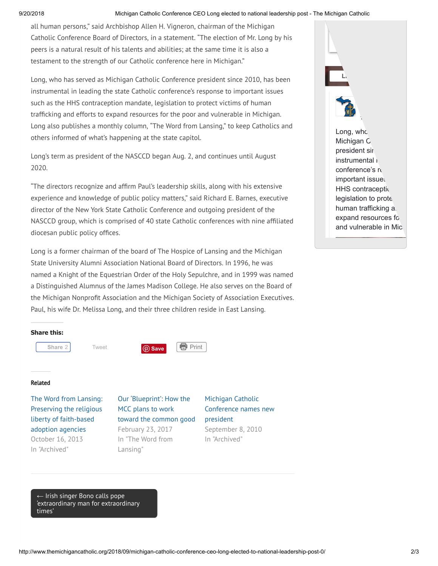#### 9/20/2018 Michigan Catholic Conference CEO Long elected to national leadership post - The Michigan Catholic

all human persons," said Archbishop Allen H. Vigneron, chairman of the Michigan Catholic Conference Board of Directors, in a statement. "The election of Mr. Long by his peers is a natural result of his talents and abilities; at the same time it is also a testament to the strength of our Catholic conference here in Michigan."

Long, who has served as Michigan Catholic Conference president since 2010, has been instrumental in leading the state Catholic conference's response to important issues such as the HHS contraception mandate, legislation to protect victims of human trafficking and efforts to expand resources for the poor and vulnerable in Michigan. Long also publishes a monthly column, "The Word from Lansing," to keep Catholics and others informed of what's happening at the state capitol.

Long's term as president of the NASCCD began Aug. 2, and continues until August 2020.

"The directors recognize and afrm Paul's leadership skills, along with his extensive experience and knowledge of public policy matters," said Richard E. Barnes, executive director of the New York State Catholic Conference and outgoing president of the NASCCD group, which is comprised of 40 state Catholic conferences with nine afliated diocesan public policy offices.

Long is a former chairman of the board of The Hospice of Lansing and the Michigan State University Alumni Association National Board of Directors. In 1996, he was named a Knight of the Equestrian Order of the Holy Sepulchre, and in 1999 was named a Distinguished Alumnus of the James Madison College. He also serves on the Board of the Michigan Nonprofit Association and the Michigan Society of Association Executives. Paul, his wife Dr. Melissa Long, and their three children reside in East Lansing.

 $1$  minutes ago and  $1$ Long, who Michigan C president sir instrumental in conference's responsive important issues HHS contraception legislation to prote human trafficking a expand resources for and vulnerable in Mic.

**[Lik](https://www.facebook.com/themichigancatholic/)e Page**

The Michiga

#### **Share this:**



#### Related

The Word from Lansing: Preserving the religious liberty of [faith-based](http://www.themichigancatholic.org/2013/10/the-word-from-lansing-preserving-the-religious-liberty-of-faith-based-adoption-agencies/) adoption agencies October 16, 2013 In "Archived"

Our ['Blueprint':](http://www.themichigancatholic.org/2017/02/blueprint-mcc-plans-work-toward-common-good/) How the MCC plans to work toward the common good February 23, 2017

In "The Word from

Lansing"

[Conference](http://www.themichigancatholic.org/2010/09/michigan-catholic-conference-names-new-president/) names new president September 8, 2010

In "Archived"

Michigan Catholic

← Irish singer Bono calls pope ['extraordinary man](http://www.themichigancatholic.org/2018/09/irish-singer-bono-calls-pope-extraordinary-man-for-extraordinary-times/) for extraordinary times'